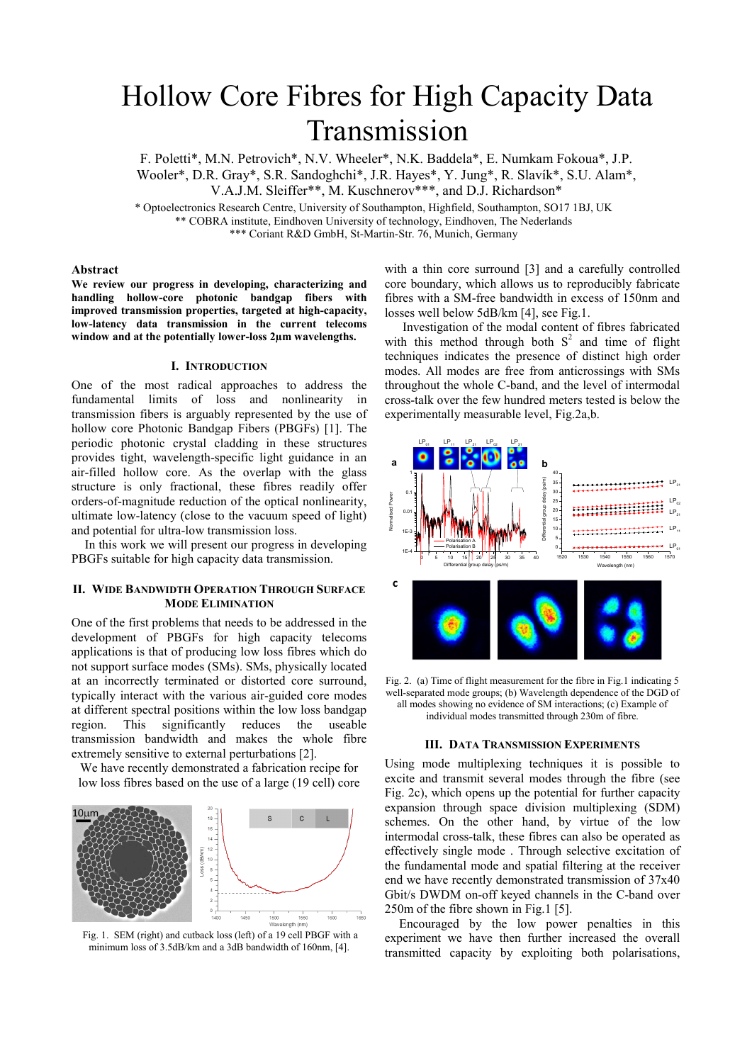# Hollow Core Fibres for High Capacity Data Transmission

F. Poletti\*, M.N. Petrovich\*, N.V. Wheeler\*, N.K. Baddela\*, E. Numkam Fokoua\*, J.P. Wooler\*, D.R. Gray\*, S.R. Sandoghchi\*, J.R. Hayes\*, Y. Jung\*, R. Slavík\*, S.U. Alam\*, V.A.J.M. Sleiffer\*\*, M. Kuschnerov\*\*\*, and D.J. Richardson\*

\* Optoelectronics Research Centre, University of Southampton, Highfield, Southampton, SO17 1BJ, UK \*\* COBRA institute, Eindhoven University of technology, Eindhoven, The Nederlands \*\*\* Coriant R&D GmbH, St-Martin-Str. 76, Munich, Germany

## **Abstract**

**We review our progress in developing, characterizing and handling hollow-core photonic bandgap fibers with improved transmission properties, targeted at high-capacity, low-latency data transmission in the current telecoms window and at the potentially lower-loss 2µm wavelengths.** 

## **I. INTRODUCTION**

One of the most radical approaches to address the fundamental limits of loss and nonlinearity in transmission fibers is arguably represented by the use of hollow core Photonic Bandgap Fibers (PBGFs) [1]. The periodic photonic crystal cladding in these structures provides tight, wavelength-specific light guidance in an air-filled hollow core. As the overlap with the glass structure is only fractional, these fibres readily offer orders-of-magnitude reduction of the optical nonlinearity, ultimate low-latency (close to the vacuum speed of light) and potential for ultra-low transmission loss.

In this work we will present our progress in developing PBGFs suitable for high capacity data transmission.

## **II. WIDE BANDWIDTH OPERATION THROUGH SURFACE MODE ELIMINATION**

One of the first problems that needs to be addressed in the development of PBGFs for high capacity telecoms applications is that of producing low loss fibres which do not support surface modes (SMs). SMs, physically located at an incorrectly terminated or distorted core surround, typically interact with the various air-guided core modes at different spectral positions within the low loss bandgap region. This significantly reduces the useable transmission bandwidth and makes the whole fibre extremely sensitive to external perturbations [2].

We have recently demonstrated a fabrication recipe for low loss fibres based on the use of a large (19 cell) core



Fig. 1. SEM (right) and cutback loss (left) of a 19 cell PBGF with a minimum loss of 3.5dB/km and a 3dB bandwidth of 160nm, [4].

with a thin core surround [3] and a carefully controlled core boundary, which allows us to reproducibly fabricate fibres with a SM-free bandwidth in excess of 150nm and losses well below 5dB/km [4], see Fig.1.

Investigation of the modal content of fibres fabricated with this method through both  $S<sup>2</sup>$  and time of flight techniques indicates the presence of distinct high order modes. All modes are free from anticrossings with SMs throughout the whole C-band, and the level of intermodal cross-talk over the few hundred meters tested is below the experimentally measurable level, Fig.2a,b.



Fig. 2. (a) Time of flight measurement for the fibre in Fig.1 indicating 5 well-separated mode groups; (b) Wavelength dependence of the DGD of all modes showing no evidence of SM interactions; (c) Example of individual modes transmitted through 230m of fibre.

#### **III. DATA TRANSMISSION EXPERIMENTS**

Using mode multiplexing techniques it is possible to excite and transmit several modes through the fibre (see Fig. 2c), which opens up the potential for further capacity expansion through space division multiplexing (SDM) schemes. On the other hand, by virtue of the low intermodal cross-talk, these fibres can also be operated as effectively single mode . Through selective excitation of the fundamental mode and spatial filtering at the receiver end we have recently demonstrated transmission of 37x40 Gbit/s DWDM on-off keyed channels in the C-band over 250m of the fibre shown in Fig.1 [5].

Encouraged by the low power penalties in this experiment we have then further increased the overall transmitted capacity by exploiting both polarisations,